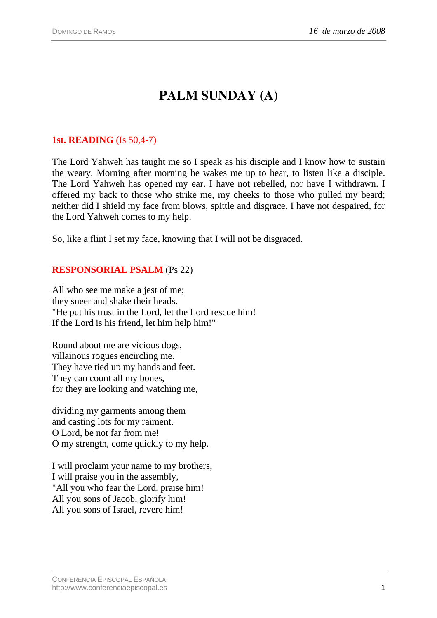# **PALM SUNDAY (A)**

## **1st. READING** (Is 50,4-7)

The Lord Yahweh has taught me so I speak as his disciple and I know how to sustain the weary. Morning after morning he wakes me up to hear, to listen like a disciple. The Lord Yahweh has opened my ear. I have not rebelled, nor have I withdrawn. I offered my back to those who strike me, my cheeks to those who pulled my beard; neither did I shield my face from blows, spittle and disgrace. I have not despaired, for the Lord Yahweh comes to my help.

So, like a flint I set my face, knowing that I will not be disgraced.

### **RESPONSORIAL PSALM** (Ps 22)

All who see me make a jest of me; they sneer and shake their heads. "He put his trust in the Lord, let the Lord rescue him! If the Lord is his friend, let him help him!"

Round about me are vicious dogs, villainous rogues encircling me. They have tied up my hands and feet. They can count all my bones, for they are looking and watching me,

dividing my garments among them and casting lots for my raiment. O Lord, be not far from me! O my strength, come quickly to my help.

I will proclaim your name to my brothers, I will praise you in the assembly, "All you who fear the Lord, praise him! All you sons of Jacob, glorify him! All you sons of Israel, revere him!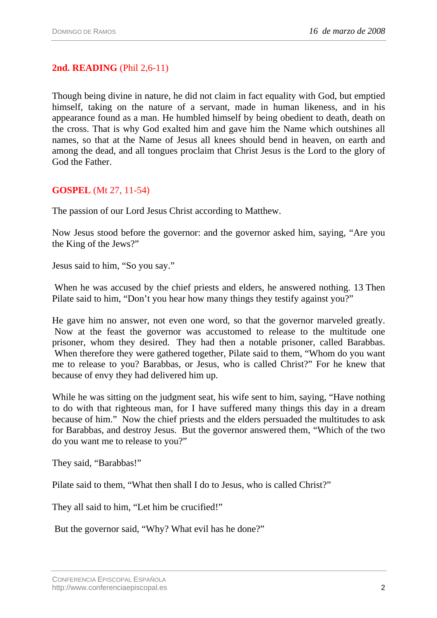#### **2nd. READING** (Phil 2,6-11)

Though being divine in nature, he did not claim in fact equality with God, but emptied himself, taking on the nature of a servant, made in human likeness, and in his appearance found as a man. He humbled himself by being obedient to death, death on the cross. That is why God exalted him and gave him the Name which outshines all names, so that at the Name of Jesus all knees should bend in heaven, on earth and among the dead, and all tongues proclaim that Christ Jesus is the Lord to the glory of God the Father.

#### **GOSPEL** (Mt 27, 11-54)

The passion of our Lord Jesus Christ according to Matthew.

Now Jesus stood before the governor: and the governor asked him, saying, "Are you the King of the Jews?"

Jesus said to him, "So you say."

 When he was accused by the chief priests and elders, he answered nothing. 13 Then Pilate said to him, "Don't you hear how many things they testify against you?"

He gave him no answer, not even one word, so that the governor marveled greatly. Now at the feast the governor was accustomed to release to the multitude one prisoner, whom they desired. They had then a notable prisoner, called Barabbas. When therefore they were gathered together, Pilate said to them, "Whom do you want me to release to you? Barabbas, or Jesus, who is called Christ?" For he knew that because of envy they had delivered him up.

While he was sitting on the judgment seat, his wife sent to him, saying, "Have nothing to do with that righteous man, for I have suffered many things this day in a dream because of him." Now the chief priests and the elders persuaded the multitudes to ask for Barabbas, and destroy Jesus. But the governor answered them, "Which of the two do you want me to release to you?"

They said, "Barabbas!"

Pilate said to them, "What then shall I do to Jesus, who is called Christ?"

They all said to him, "Let him be crucified!"

But the governor said, "Why? What evil has he done?"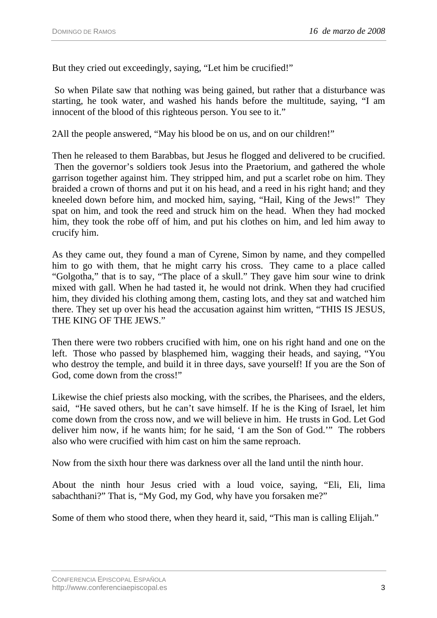But they cried out exceedingly, saying, "Let him be crucified!"

 So when Pilate saw that nothing was being gained, but rather that a disturbance was starting, he took water, and washed his hands before the multitude, saying, "I am innocent of the blood of this righteous person. You see to it."

2All the people answered, "May his blood be on us, and on our children!"

Then he released to them Barabbas, but Jesus he flogged and delivered to be crucified. Then the governor's soldiers took Jesus into the Praetorium, and gathered the whole garrison together against him. They stripped him, and put a scarlet robe on him. They braided a crown of thorns and put it on his head, and a reed in his right hand; and they kneeled down before him, and mocked him, saying, "Hail, King of the Jews!" They spat on him, and took the reed and struck him on the head. When they had mocked him, they took the robe off of him, and put his clothes on him, and led him away to crucify him.

As they came out, they found a man of Cyrene, Simon by name, and they compelled him to go with them, that he might carry his cross. They came to a place called "Golgotha," that is to say, "The place of a skull." They gave him sour wine to drink mixed with gall. When he had tasted it, he would not drink. When they had crucified him, they divided his clothing among them, casting lots, and they sat and watched him there. They set up over his head the accusation against him written, "THIS IS JESUS, THE KING OF THE JEWS."

Then there were two robbers crucified with him, one on his right hand and one on the left. Those who passed by blasphemed him, wagging their heads, and saying, "You who destroy the temple, and build it in three days, save yourself! If you are the Son of God, come down from the cross!"

Likewise the chief priests also mocking, with the scribes, the Pharisees, and the elders, said, "He saved others, but he can't save himself. If he is the King of Israel, let him come down from the cross now, and we will believe in him. He trusts in God. Let God deliver him now, if he wants him; for he said, 'I am the Son of God.'" The robbers also who were crucified with him cast on him the same reproach.

Now from the sixth hour there was darkness over all the land until the ninth hour.

About the ninth hour Jesus cried with a loud voice, saying, "Eli, Eli, lima sabachthani?" That is, "My God, my God, why have you forsaken me?"

Some of them who stood there, when they heard it, said, "This man is calling Elijah."